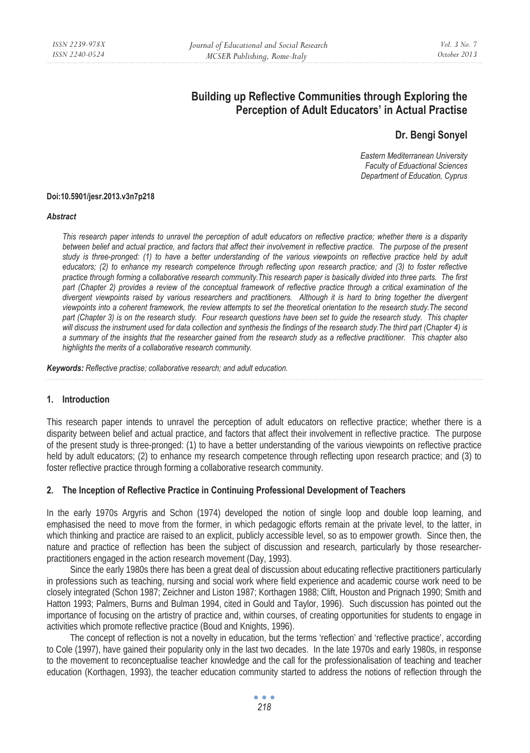# **Building up Reflective Communities through Exploring the Perception of Adult Educators' in Actual Practise**

## **Dr. Bengi Sonyel**

*Eastern Mediterranean University Faculty of Eduactional Sciences Department of Education, Cyprus* 

#### **Doi:10.5901/jesr.2013.v3n7p218**

#### *Abstract*

*This research paper intends to unravel the perception of adult educators on reflective practice; whether there is a disparity between belief and actual practice, and factors that affect their involvement in reflective practice. The purpose of the present*  study is three-pronged: (1) to have a better understanding of the various viewpoints on reflective practice held by adult *educators; (2) to enhance my research competence through reflecting upon research practice; and (3) to foster reflective practice through forming a collaborative research community.This research paper is basically divided into three parts. The first part (Chapter 2) provides a review of the conceptual framework of reflective practice through a critical examination of the divergent viewpoints raised by various researchers and practitioners. Although it is hard to bring together the divergent viewpoints into a coherent framework, the review attempts to set the theoretical orientation to the research study.The second*  part (Chapter 3) is on the research study. Four research questions have been set to guide the research study. This chapter *will discuss the instrument used for data collection and synthesis the findings of the research study.The third part (Chapter 4) is a summary of the insights that the researcher gained from the research study as a reflective practitioner. This chapter also highlights the merits of a collaborative research community.* 

*Keywords: Reflective practise; collaborative research; and adult education.* 

#### **1. Introduction**

This research paper intends to unravel the perception of adult educators on reflective practice; whether there is a disparity between belief and actual practice, and factors that affect their involvement in reflective practice. The purpose of the present study is three-pronged: (1) to have a better understanding of the various viewpoints on reflective practice held by adult educators; (2) to enhance my research competence through reflecting upon research practice; and (3) to foster reflective practice through forming a collaborative research community.

#### **2. The Inception of Reflective Practice in Continuing Professional Development of Teachers**

In the early 1970s Argyris and Schon (1974) developed the notion of single loop and double loop learning, and emphasised the need to move from the former, in which pedagogic efforts remain at the private level, to the latter, in which thinking and practice are raised to an explicit, publicly accessible level, so as to empower growth. Since then, the nature and practice of reflection has been the subject of discussion and research, particularly by those researcherpractitioners engaged in the action research movement (Day, 1993).

Since the early 1980s there has been a great deal of discussion about educating reflective practitioners particularly in professions such as teaching, nursing and social work where field experience and academic course work need to be closely integrated (Schon 1987; Zeichner and Liston 1987; Korthagen 1988; Clift, Houston and Prignach 1990; Smith and Hatton 1993; Palmers, Burns and Bulman 1994, cited in Gould and Taylor, 1996). Such discussion has pointed out the importance of focusing on the artistry of practice and, within courses, of creating opportunities for students to engage in activities which promote reflective practice (Boud and Knights, 1996).

The concept of reflection is not a novelty in education, but the terms 'reflection' and 'reflective practice', according to Cole (1997), have gained their popularity only in the last two decades. In the late 1970s and early 1980s, in response to the movement to reconceptualise teacher knowledge and the call for the professionalisation of teaching and teacher education (Korthagen, 1993), the teacher education community started to address the notions of reflection through the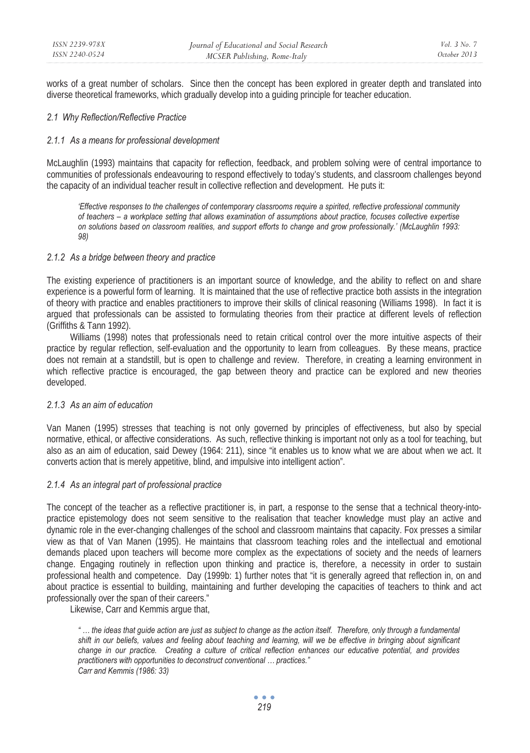works of a great number of scholars. Since then the concept has been explored in greater depth and translated into diverse theoretical frameworks, which gradually develop into a guiding principle for teacher education.

#### *2.1 Why Reflection/Reflective Practice*

#### *2.1.1 As a means for professional development*

McLaughlin (1993) maintains that capacity for reflection, feedback, and problem solving were of central importance to communities of professionals endeavouring to respond effectively to today's students, and classroom challenges beyond the capacity of an individual teacher result in collective reflection and development. He puts it:

*'Effective responses to the challenges of contemporary classrooms require a spirited, reflective professional community of teachers – a workplace setting that allows examination of assumptions about practice, focuses collective expertise on solutions based on classroom realities, and support efforts to change and grow professionally.' (McLaughlin 1993: 98)* 

#### *2.1.2 As a bridge between theory and practice*

The existing experience of practitioners is an important source of knowledge, and the ability to reflect on and share experience is a powerful form of learning. It is maintained that the use of reflective practice both assists in the integration of theory with practice and enables practitioners to improve their skills of clinical reasoning (Williams 1998). In fact it is argued that professionals can be assisted to formulating theories from their practice at different levels of reflection (Griffiths & Tann 1992).

Williams (1998) notes that professionals need to retain critical control over the more intuitive aspects of their practice by regular reflection, self-evaluation and the opportunity to learn from colleagues. By these means, practice does not remain at a standstill, but is open to challenge and review. Therefore, in creating a learning environment in which reflective practice is encouraged, the gap between theory and practice can be explored and new theories developed.

## *2.1.3 As an aim of education*

Van Manen (1995) stresses that teaching is not only governed by principles of effectiveness, but also by special normative, ethical, or affective considerations. As such, reflective thinking is important not only as a tool for teaching, but also as an aim of education, said Dewey (1964: 211), since "it enables us to know what we are about when we act. It converts action that is merely appetitive, blind, and impulsive into intelligent action".

#### *2.1.4 As an integral part of professional practice*

The concept of the teacher as a reflective practitioner is, in part, a response to the sense that a technical theory-intopractice epistemology does not seem sensitive to the realisation that teacher knowledge must play an active and dynamic role in the ever-changing challenges of the school and classroom maintains that capacity. Fox presses a similar view as that of Van Manen (1995). He maintains that classroom teaching roles and the intellectual and emotional demands placed upon teachers will become more complex as the expectations of society and the needs of learners change. Engaging routinely in reflection upon thinking and practice is, therefore, a necessity in order to sustain professional health and competence. Day (1999b: 1) further notes that "it is generally agreed that reflection in, on and about practice is essential to building, maintaining and further developing the capacities of teachers to think and act professionally over the span of their careers."

Likewise, Carr and Kemmis argue that,

*" … the ideas that guide action are just as subject to change as the action itself. Therefore, only through a fundamental shift in our beliefs, values and feeling about teaching and learning, will we be effective in bringing about significant change in our practice. Creating a culture of critical reflection enhances our educative potential, and provides practitioners with opportunities to deconstruct conventional … practices." Carr and Kemmis (1986: 33)*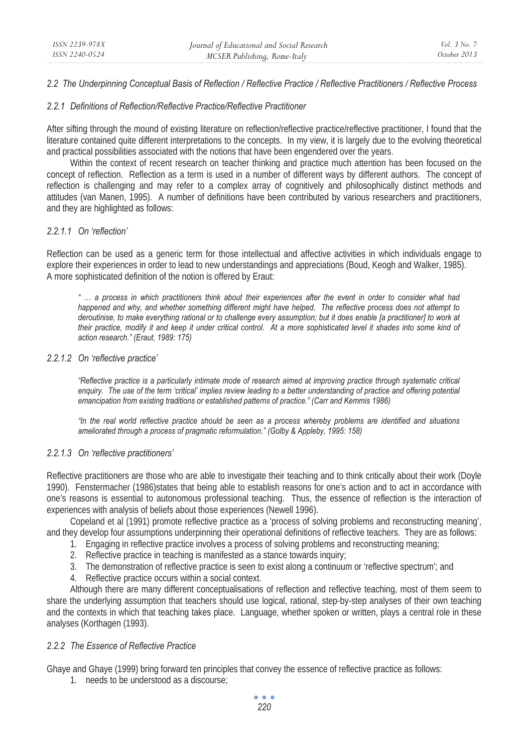## *2.2 The Underpinning Conceptual Basis of Reflection / Reflective Practice / Reflective Practitioners / Reflective Process*

## *2.2.1 Definitions of Reflection/Reflective Practice/Reflective Practitioner*

After sifting through the mound of existing literature on reflection/reflective practice/reflective practitioner, I found that the literature contained quite different interpretations to the concepts. In my view, it is largely due to the evolving theoretical and practical possibilities associated with the notions that have been engendered over the years.

Within the context of recent research on teacher thinking and practice much attention has been focused on the concept of reflection. Reflection as a term is used in a number of different ways by different authors. The concept of reflection is challenging and may refer to a complex array of cognitively and philosophically distinct methods and attitudes (van Manen, 1995). A number of definitions have been contributed by various researchers and practitioners, and they are highlighted as follows:

## *2.2.1.1 On 'reflection'*

Reflection can be used as a generic term for those intellectual and affective activities in which individuals engage to explore their experiences in order to lead to new understandings and appreciations (Boud, Keogh and Walker, 1985). A more sophisticated definition of the notion is offered by Eraut:

*" … a process in which practitioners think about their experiences after the event in order to consider what had happened and why, and whether something different might have helped. The reflective process does not attempt to deroutinise, to make everything rational or to challenge every assumption; but it does enable [a practitioner] to work at their practice, modify it and keep it under critical control. At a more sophisticated level it shades into some kind of action research." (Eraut, 1989: 175)* 

#### *2.2.1.2 On 'reflective practice'*

*"Reflective practice is a particularly intimate mode of research aimed at improving practice through systematic critical*  enquiry. The use of the term 'critical' implies review leading to a better understanding of practice and offering potential *emancipation from existing traditions or established patterns of practice." (Carr and Kemmis 1986)* 

*"In the real world reflective practice should be seen as a process whereby problems are identified and situations ameliorated through a process of pragmatic reformulation." (Golby & Appleby, 1995: 158)* 

#### *2.2.1.3 On 'reflective practitioners'*

Reflective practitioners are those who are able to investigate their teaching and to think critically about their work (Doyle 1990). Fenstermacher (1986)states that being able to establish reasons for one's action and to act in accordance with one's reasons is essential to autonomous professional teaching. Thus, the essence of reflection is the interaction of experiences with analysis of beliefs about those experiences (Newell 1996).

Copeland et al (1991) promote reflective practice as a 'process of solving problems and reconstructing meaning', and they develop four assumptions underpinning their operational definitions of reflective teachers. They are as follows:

- 1. Engaging in reflective practice involves a process of solving problems and reconstructing meaning;
- 2. Reflective practice in teaching is manifested as a stance towards inquiry;
- 3. The demonstration of reflective practice is seen to exist along a continuum or 'reflective spectrum'; and
- 4. Reflective practice occurs within a social context.

Although there are many different conceptualisations of reflection and reflective teaching, most of them seem to share the underlying assumption that teachers should use logical, rational, step-by-step analyses of their own teaching and the contexts in which that teaching takes place. Language, whether spoken or written, plays a central role in these analyses (Korthagen (1993).

### *2.2.2 The Essence of Reflective Practice*

Ghaye and Ghaye (1999) bring forward ten principles that convey the essence of reflective practice as follows:

1. needs to be understood as a discourse;

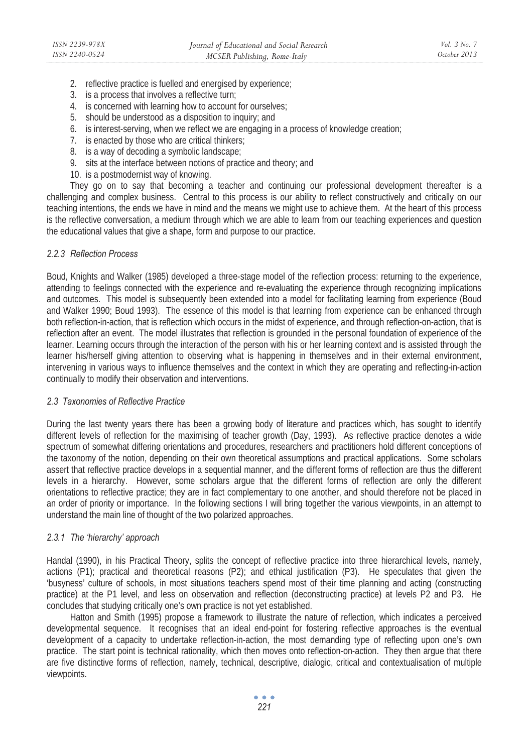- 2. reflective practice is fuelled and energised by experience;
- 3. is a process that involves a reflective turn;
- 4. is concerned with learning how to account for ourselves;
- 5. should be understood as a disposition to inquiry; and
- 6. is interest-serving, when we reflect we are engaging in a process of knowledge creation;
- 7. is enacted by those who are critical thinkers;
- 8. is a way of decoding a symbolic landscape;
- 9. sits at the interface between notions of practice and theory; and
- 10. is a postmodernist way of knowing.

They go on to say that becoming a teacher and continuing our professional development thereafter is a challenging and complex business. Central to this process is our ability to reflect constructively and critically on our teaching intentions, the ends we have in mind and the means we might use to achieve them. At the heart of this process is the reflective conversation, a medium through which we are able to learn from our teaching experiences and question the educational values that give a shape, form and purpose to our practice.

## *2.2.3 Reflection Process*

Boud, Knights and Walker (1985) developed a three-stage model of the reflection process: returning to the experience, attending to feelings connected with the experience and re-evaluating the experience through recognizing implications and outcomes. This model is subsequently been extended into a model for facilitating learning from experience (Boud and Walker 1990; Boud 1993). The essence of this model is that learning from experience can be enhanced through both reflection-in-action, that is reflection which occurs in the midst of experience, and through reflection-on-action, that is reflection after an event. The model illustrates that reflection is grounded in the personal foundation of experience of the learner. Learning occurs through the interaction of the person with his or her learning context and is assisted through the learner his/herself giving attention to observing what is happening in themselves and in their external environment, intervening in various ways to influence themselves and the context in which they are operating and reflecting-in-action continually to modify their observation and interventions.

#### *2.3 Taxonomies of Reflective Practice*

During the last twenty years there has been a growing body of literature and practices which, has sought to identify different levels of reflection for the maximising of teacher growth (Day, 1993). As reflective practice denotes a wide spectrum of somewhat differing orientations and procedures, researchers and practitioners hold different conceptions of the taxonomy of the notion, depending on their own theoretical assumptions and practical applications. Some scholars assert that reflective practice develops in a sequential manner, and the different forms of reflection are thus the different levels in a hierarchy. However, some scholars argue that the different forms of reflection are only the different orientations to reflective practice; they are in fact complementary to one another, and should therefore not be placed in an order of priority or importance. In the following sections I will bring together the various viewpoints, in an attempt to understand the main line of thought of the two polarized approaches.

#### *2.3.1 The 'hierarchy' approach*

Handal (1990), in his Practical Theory, splits the concept of reflective practice into three hierarchical levels, namely, actions (P1); practical and theoretical reasons (P2); and ethical justification (P3). He speculates that given the 'busyness' culture of schools, in most situations teachers spend most of their time planning and acting (constructing practice) at the P1 level, and less on observation and reflection (deconstructing practice) at levels P2 and P3. He concludes that studying critically one's own practice is not yet established.

Hatton and Smith (1995) propose a framework to illustrate the nature of reflection, which indicates a perceived developmental sequence. It recognises that an ideal end-point for fostering reflective approaches is the eventual development of a capacity to undertake reflection-in-action, the most demanding type of reflecting upon one's own practice. The start point is technical rationality, which then moves onto reflection-on-action. They then argue that there are five distinctive forms of reflection, namely, technical, descriptive, dialogic, critical and contextualisation of multiple viewpoints.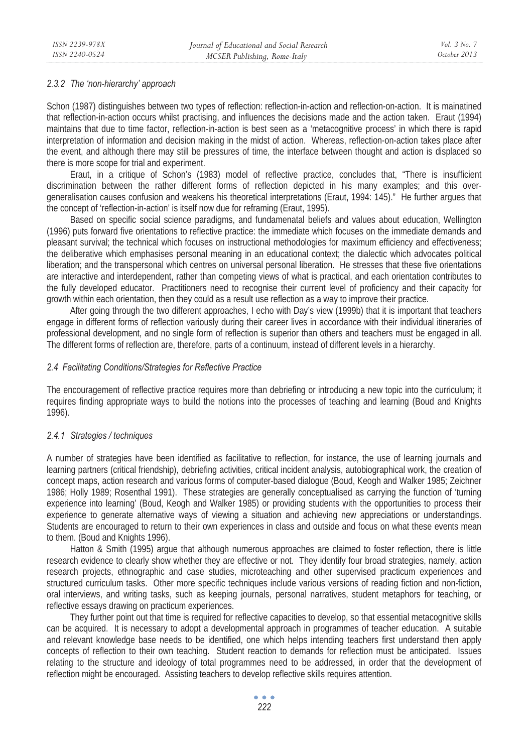## *2.3.2 The 'non-hierarchy' approach*

Schon (1987) distinguishes between two types of reflection: reflection-in-action and reflection-on-action. It is mainatined that reflection-in-action occurs whilst practising, and influences the decisions made and the action taken. Eraut (1994) maintains that due to time factor, reflection-in-action is best seen as a 'metacognitive process' in which there is rapid interpretation of information and decision making in the midst of action. Whereas, reflection-on-action takes place after the event, and although there may still be pressures of time, the interface between thought and action is displaced so there is more scope for trial and experiment.

Eraut, in a critique of Schon's (1983) model of reflective practice, concludes that, "There is insufficient discrimination between the rather different forms of reflection depicted in his many examples; and this overgeneralisation causes confusion and weakens his theoretical interpretations (Eraut, 1994: 145)." He further argues that the concept of 'reflection-in-action' is itself now due for reframing (Eraut, 1995).

Based on specific social science paradigms, and fundamenatal beliefs and values about education, Wellington (1996) puts forward five orientations to reflective practice: the immediate which focuses on the immediate demands and pleasant survival; the technical which focuses on instructional methodologies for maximum efficiency and effectiveness; the deliberative which emphasises personal meaning in an educational context; the dialectic which advocates political liberation; and the transpersonal which centres on universal personal liberation. He stresses that these five orientations are interactive and interdependent, rather than competing views of what is practical, and each orientation contributes to the fully developed educator. Practitioners need to recognise their current level of proficiency and their capacity for growth within each orientation, then they could as a result use reflection as a way to improve their practice.

After going through the two different approaches, I echo with Day's view (1999b) that it is important that teachers engage in different forms of reflection variously during their career lives in accordance with their individual itineraries of professional development, and no single form of reflection is superior than others and teachers must be engaged in all. The different forms of reflection are, therefore, parts of a continuum, instead of different levels in a hierarchy.

#### *2.4 Facilitating Conditions/Strategies for Reflective Practice*

The encouragement of reflective practice requires more than debriefing or introducing a new topic into the curriculum; it requires finding appropriate ways to build the notions into the processes of teaching and learning (Boud and Knights 1996).

#### *2.4.1 Strategies / techniques*

A number of strategies have been identified as facilitative to reflection, for instance, the use of learning journals and learning partners (critical friendship), debriefing activities, critical incident analysis, autobiographical work, the creation of concept maps, action research and various forms of computer-based dialogue (Boud, Keogh and Walker 1985; Zeichner 1986; Holly 1989; Rosenthal 1991). These strategies are generally conceptualised as carrying the function of 'turning experience into learning' (Boud, Keogh and Walker 1985) or providing students with the opportunities to process their experience to generate alternative ways of viewing a situation and achieving new appreciations or understandings. Students are encouraged to return to their own experiences in class and outside and focus on what these events mean to them. (Boud and Knights 1996).

Hatton & Smith (1995) argue that although numerous approaches are claimed to foster reflection, there is little research evidence to clearly show whether they are effective or not. They identify four broad strategies, namely, action research projects, ethnographic and case studies, microteaching and other supervised practicum experiences and structured curriculum tasks. Other more specific techniques include various versions of reading fiction and non-fiction, oral interviews, and writing tasks, such as keeping journals, personal narratives, student metaphors for teaching, or reflective essays drawing on practicum experiences.

They further point out that time is required for reflective capacities to develop, so that essential metacognitive skills can be acquired. It is necessary to adopt a developmental approach in programmes of teacher education. A suitable and relevant knowledge base needs to be identified, one which helps intending teachers first understand then apply concepts of reflection to their own teaching. Student reaction to demands for reflection must be anticipated. Issues relating to the structure and ideology of total programmes need to be addressed, in order that the development of reflection might be encouraged. Assisting teachers to develop reflective skills requires attention.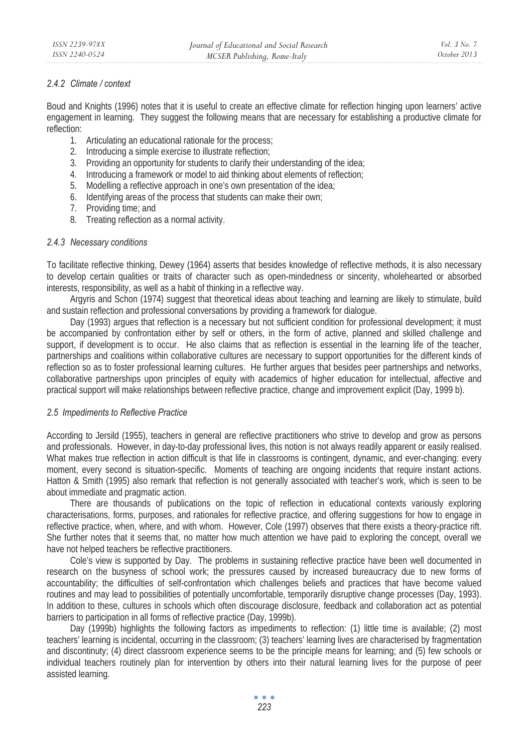## *2.4.2 Climate / context*

Boud and Knights (1996) notes that it is useful to create an effective climate for reflection hinging upon learners' active engagement in learning. They suggest the following means that are necessary for establishing a productive climate for reflection:

- 1. Articulating an educational rationale for the process;
- 2. Introducing a simple exercise to illustrate reflection;
- 3. Providing an opportunity for students to clarify their understanding of the idea;
- 4. Introducing a framework or model to aid thinking about elements of reflection;
- 5. Modelling a reflective approach in one's own presentation of the idea;
- 6. Identifying areas of the process that students can make their own;
- 7. Providing time; and
- 8. Treating reflection as a normal activity.

## *2.4.3 Necessary conditions*

To facilitate reflective thinking, Dewey (1964) asserts that besides knowledge of reflective methods, it is also necessary to develop certain qualities or traits of character such as open-mindedness or sincerity, wholehearted or absorbed interests, responsibility, as well as a habit of thinking in a reflective way.

Argyris and Schon (1974) suggest that theoretical ideas about teaching and learning are likely to stimulate, build and sustain reflection and professional conversations by providing a framework for dialogue.

Day (1993) argues that reflection is a necessary but not sufficient condition for professional development; it must be accompanied by confrontation either by self or others, in the form of active, planned and skilled challenge and support, if development is to occur. He also claims that as reflection is essential in the learning life of the teacher, partnerships and coalitions within collaborative cultures are necessary to support opportunities for the different kinds of reflection so as to foster professional learning cultures. He further argues that besides peer partnerships and networks, collaborative partnerships upon principles of equity with academics of higher education for intellectual, affective and practical support will make relationships between reflective practice, change and improvement explicit (Day, 1999 b).

#### *2.5 Impediments to Reflective Practice*

According to Jersild (1955), teachers in general are reflective practitioners who strive to develop and grow as persons and professionals. However, in day-to-day professional lives, this notion is not always readily apparent or easily realised. What makes true reflection in action difficult is that life in classrooms is contingent, dynamic, and ever-changing: every moment, every second is situation-specific. Moments of teaching are ongoing incidents that require instant actions. Hatton & Smith (1995) also remark that reflection is not generally associated with teacher's work, which is seen to be about immediate and pragmatic action.

There are thousands of publications on the topic of reflection in educational contexts variously exploring characterisations, forms, purposes, and rationales for reflective practice, and offering suggestions for how to engage in reflective practice, when, where, and with whom. However, Cole (1997) observes that there exists a theory-practice rift. She further notes that it seems that, no matter how much attention we have paid to exploring the concept, overall we have not helped teachers be reflective practitioners.

Cole's view is supported by Day. The problems in sustaining reflective practice have been well documented in research on the busyness of school work; the pressures caused by increased bureaucracy due to new forms of accountability; the difficulties of self-confrontation which challenges beliefs and practices that have become valued routines and may lead to possibilities of potentially uncomfortable, temporarily disruptive change processes (Day, 1993). In addition to these, cultures in schools which often discourage disclosure, feedback and collaboration act as potential barriers to participation in all forms of reflective practice (Day, 1999b).

Day (1999b) highlights the following factors as impediments to reflection: (1) little time is available; (2) most teachers' learning is incidental, occurring in the classroom; (3) teachers' learning lives are characterised by fragmentation and discontinuty; (4) direct classroom experience seems to be the principle means for learning; and (5) few schools or individual teachers routinely plan for intervention by others into their natural learning lives for the purpose of peer assisted learning.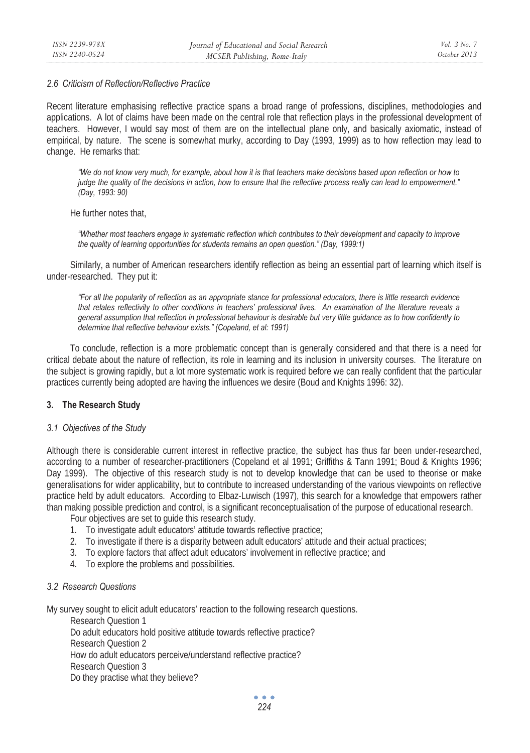#### *2.6 Criticism of Reflection/Reflective Practice*

Recent literature emphasising reflective practice spans a broad range of professions, disciplines, methodologies and applications. A lot of claims have been made on the central role that reflection plays in the professional development of teachers. However, I would say most of them are on the intellectual plane only, and basically axiomatic, instead of empirical, by nature. The scene is somewhat murky, according to Day (1993, 1999) as to how reflection may lead to change. He remarks that:

*"We do not know very much, for example, about how it is that teachers make decisions based upon reflection or how to judge the quality of the decisions in action, how to ensure that the reflective process really can lead to empowerment." (Day, 1993: 90)* 

He further notes that,

*"Whether most teachers engage in systematic reflection which contributes to their development and capacity to improve the quality of learning opportunities for students remains an open question." (Day, 1999:1)* 

Similarly, a number of American researchers identify reflection as being an essential part of learning which itself is under-researched. They put it:

*"For all the popularity of reflection as an appropriate stance for professional educators, there is little research evidence that relates reflectivity to other conditions in teachers' professional lives. An examination of the literature reveals a general assumption that reflection in professional behaviour is desirable but very little guidance as to how confidently to determine that reflective behaviour exists." (Copeland, et al: 1991)* 

To conclude, reflection is a more problematic concept than is generally considered and that there is a need for critical debate about the nature of reflection, its role in learning and its inclusion in university courses. The literature on the subject is growing rapidly, but a lot more systematic work is required before we can really confident that the particular practices currently being adopted are having the influences we desire (Boud and Knights 1996: 32).

## **3. The Research Study**

#### *3.1 Objectives of the Study*

Although there is considerable current interest in reflective practice, the subject has thus far been under-researched, according to a number of researcher-practitioners (Copeland et al 1991; Griffiths & Tann 1991; Boud & Knights 1996; Day 1999). The objective of this research study is not to develop knowledge that can be used to theorise or make generalisations for wider applicability, but to contribute to increased understanding of the various viewpoints on reflective practice held by adult educators. According to Elbaz-Luwisch (1997), this search for a knowledge that empowers rather than making possible prediction and control, is a significant reconceptualisation of the purpose of educational research.

Four objectives are set to guide this research study.

- 1. To investigate adult educators' attitude towards reflective practice;
- 2. To investigate if there is a disparity between adult educators' attitude and their actual practices;
- 3. To explore factors that affect adult educators' involvement in reflective practice; and
- 4. To explore the problems and possibilities.

## *3.2 Research Questions*

My survey sought to elicit adult educators' reaction to the following research questions.

Research Question 1 Do adult educators hold positive attitude towards reflective practice? Research Question 2 How do adult educators perceive/understand reflective practice? Research Question 3 Do they practise what they believe?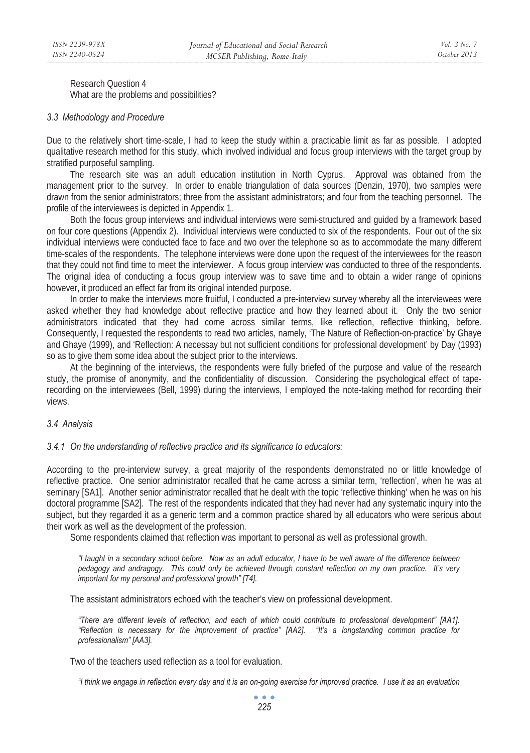Research Question 4 What are the problems and possibilities?

#### *3.3 Methodology and Procedure*

Due to the relatively short time-scale, I had to keep the study within a practicable limit as far as possible. I adopted qualitative research method for this study, which involved individual and focus group interviews with the target group by stratified purposeful sampling.

The research site was an adult education institution in North Cyprus. Approval was obtained from the management prior to the survey. In order to enable triangulation of data sources (Denzin, 1970), two samples were drawn from the senior administrators; three from the assistant administrators; and four from the teaching personnel. The profile of the interviewees is depicted in Appendix 1.

Both the focus group interviews and individual interviews were semi-structured and guided by a framework based on four core questions (Appendix 2). Individual interviews were conducted to six of the respondents. Four out of the six individual interviews were conducted face to face and two over the telephone so as to accommodate the many different time-scales of the respondents. The telephone interviews were done upon the request of the interviewees for the reason that they could not find time to meet the interviewer. A focus group interview was conducted to three of the respondents. The original idea of conducting a focus group interview was to save time and to obtain a wider range of opinions however, it produced an effect far from its original intended purpose.

In order to make the interviews more fruitful, I conducted a pre-interview survey whereby all the interviewees were asked whether they had knowledge about reflective practice and how they learned about it. Only the two senior administrators indicated that they had come across similar terms, like reflection, reflective thinking, before. Consequently, I requested the respondents to read two articles, namely, 'The Nature of Reflection-on-practice' by Ghaye and Ghaye (1999), and 'Reflection: A necessay but not sufficient conditions for professional development' by Day (1993) so as to give them some idea about the subject prior to the interviews.

At the beginning of the interviews, the respondents were fully briefed of the purpose and value of the research study, the promise of anonymity, and the confidentiality of discussion. Considering the psychological effect of taperecording on the interviewees (Bell, 1999) during the interviews, I employed the note-taking method for recording their views.

#### *3.4 Analysis*

*3.4.1 On the understanding of reflective practice and its significance to educators:* 

According to the pre-interview survey, a great majority of the respondents demonstrated no or little knowledge of reflective practice. One senior administrator recalled that he came across a similar term, 'reflection', when he was at seminary [SA1]. Another senior administrator recalled that he dealt with the topic 'reflective thinking' when he was on his doctoral programme [SA2]. The rest of the respondents indicated that they had never had any systematic inquiry into the subject, but they regarded it as a generic term and a common practice shared by all educators who were serious about their work as well as the development of the profession.

Some respondents claimed that reflection was important to personal as well as professional growth.

*"I taught in a secondary school before. Now as an adult educator, I have to be well aware of the difference between pedagogy and andragogy. This could only be achieved through constant reflection on my own practice. It's very important for my personal and professional growth" [T4].* 

The assistant administrators echoed with the teacher's view on professional development.

*"There are different levels of reflection, and each of which could contribute to professional development" [AA1]. "Reflection is necessary for the improvement of practice" [AA2]. "It's a longstanding common practice for professionalism" [AA3].* 

Two of the teachers used reflection as a tool for evaluation.

*"I think we engage in reflection every day and it is an on-going exercise for improved practice. I use it as an evaluation*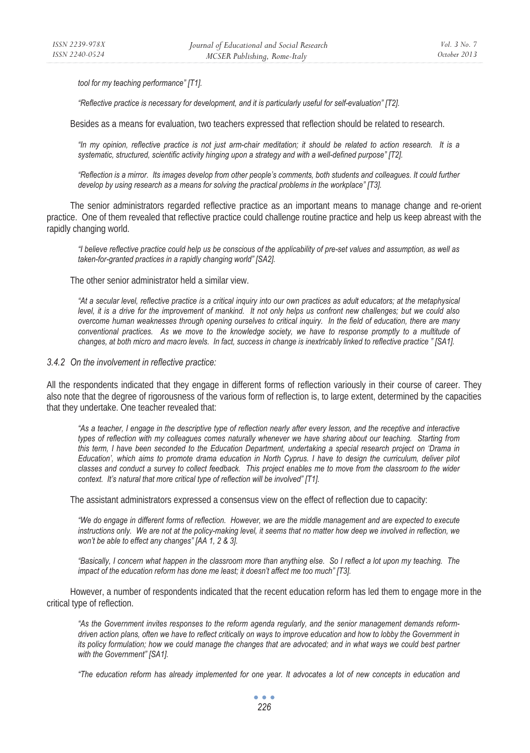*tool for my teaching performance" [T1].* 

*"Reflective practice is necessary for development, and it is particularly useful for self-evaluation" [T2].* 

Besides as a means for evaluation, two teachers expressed that reflection should be related to research.

*"In my opinion, reflective practice is not just arm-chair meditation; it should be related to action research. It is a systematic, structured, scientific activity hinging upon a strategy and with a well-defined purpose" [T2].* 

*"Reflection is a mirror. Its images develop from other people's comments, both students and colleagues. It could further develop by using research as a means for solving the practical problems in the workplace" [T3].* 

The senior administrators regarded reflective practice as an important means to manage change and re-orient practice. One of them revealed that reflective practice could challenge routine practice and help us keep abreast with the rapidly changing world.

*"I believe reflective practice could help us be conscious of the applicability of pre-set values and assumption, as well as taken-for-granted practices in a rapidly changing world" [SA2].* 

The other senior administrator held a similar view.

*"At a secular level, reflective practice is a critical inquiry into our own practices as adult educators; at the metaphysical level, it is a drive for the improvement of mankind. It not only helps us confront new challenges; but we could also overcome human weaknesses through opening ourselves to critical inquiry. In the field of education, there are many conventional practices. As we move to the knowledge society, we have to response promptly to a multitude of changes, at both micro and macro levels. In fact, success in change is inextricably linked to reflective practice " [SA1].* 

#### *3.4.2 On the involvement in reflective practice:*

All the respondents indicated that they engage in different forms of reflection variously in their course of career. They also note that the degree of rigorousness of the various form of reflection is, to large extent, determined by the capacities that they undertake. One teacher revealed that:

*"As a teacher, I engage in the descriptive type of reflection nearly after every lesson, and the receptive and interactive types of reflection with my colleagues comes naturally whenever we have sharing about our teaching. Starting from this term, I have been seconded to the Education Department, undertaking a special research project on 'Drama in Education', which aims to promote drama education in North Cyprus. I have to design the curriculum, deliver pilot classes and conduct a survey to collect feedback. This project enables me to move from the classroom to the wider context. It's natural that more critical type of reflection will be involved" [T1].* 

The assistant administrators expressed a consensus view on the effect of reflection due to capacity:

*"We do engage in different forms of reflection. However, we are the middle management and are expected to execute instructions only. We are not at the policy-making level, it seems that no matter how deep we involved in reflection, we won't be able to effect any changes" [AA 1, 2 & 3].* 

*"Basically, I concern what happen in the classroom more than anything else. So I reflect a lot upon my teaching. The impact of the education reform has done me least; it doesn't affect me too much" [T3].* 

However, a number of respondents indicated that the recent education reform has led them to engage more in the critical type of reflection.

*"As the Government invites responses to the reform agenda regularly, and the senior management demands reformdriven action plans, often we have to reflect critically on ways to improve education and how to lobby the Government in its policy formulation; how we could manage the changes that are advocated; and in what ways we could best partner with the Government" [SA1].* 

*"The education reform has already implemented for one year. It advocates a lot of new concepts in education and* 

 $\bullet$   $\bullet$   $\bullet$ *226*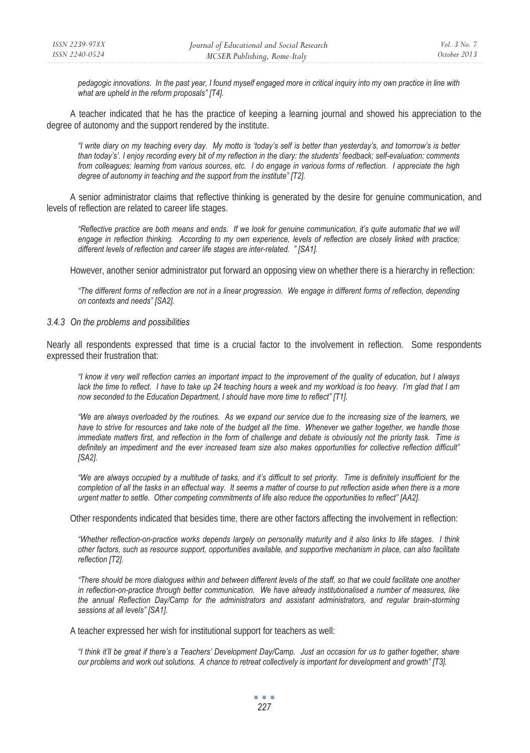*pedagogic innovations. In the past year, I found myself engaged more in critical inquiry into my own practice in line with what are upheld in the reform proposals" [T4].* 

A teacher indicated that he has the practice of keeping a learning journal and showed his appreciation to the degree of autonomy and the support rendered by the institute.

*"I write diary on my teaching every day. My motto is 'today's self is better than yesterday's, and tomorrow's is better than today's'. I enjoy recording every bit of my reflection in the diary: the students' feedback; self-evaluation; comments from colleagues; learning from various sources, etc. I do engage in various forms of reflection. I appreciate the high degree of autonomy in teaching and the support from the institute" [T2].* 

A senior administrator claims that reflective thinking is generated by the desire for genuine communication, and levels of reflection are related to career life stages.

*"Reflective practice are both means and ends. If we look for genuine communication, it's quite automatic that we will*  engage in reflection thinking. According to my own experience, levels of reflection are closely linked with practice; *different levels of reflection and career life stages are inter-related. " [SA1].* 

However, another senior administrator put forward an opposing view on whether there is a hierarchy in reflection:

*"The different forms of reflection are not in a linear progression. We engage in different forms of reflection, depending on contexts and needs" [SA2].* 

#### *3.4.3 On the problems and possibilities*

Nearly all respondents expressed that time is a crucial factor to the involvement in reflection. Some respondents expressed their frustration that:

*"I know it very well reflection carries an important impact to the improvement of the quality of education, but I always*  lack the time to reflect. I have to take up 24 teaching hours a week and my workload is too heavy. I'm glad that I am *now seconded to the Education Department, I should have more time to reflect" [T1].* 

*"We are always overloaded by the routines. As we expand our service due to the increasing size of the learners, we have to strive for resources and take note of the budget all the time. Whenever we gather together, we handle those immediate matters first, and reflection in the form of challenge and debate is obviously not the priority task. Time is definitely an impediment and the ever increased team size also makes opportunities for collective reflection difficult" [SA2].* 

*"We are always occupied by a multitude of tasks, and it's difficult to set priority. Time is definitely insufficient for the*  completion of all the tasks in an effectual way. It seems a matter of course to put reflection aside when there is a more *urgent matter to settle. Other competing commitments of life also reduce the opportunities to reflect" [AA2].* 

Other respondents indicated that besides time, there are other factors affecting the involvement in reflection:

*"Whether reflection-on-practice works depends largely on personality maturity and it also links to life stages. I think other factors, such as resource support, opportunities available, and supportive mechanism in place, can also facilitate reflection [T2].* 

*"There should be more dialogues within and between different levels of the staff, so that we could facilitate one another in reflection-on-practice through better communication. We have already institutionalised a number of measures, like the annual Reflection Day/Camp for the administrators and assistant administrators, and regular brain-storming sessions at all levels" [SA1].* 

A teacher expressed her wish for institutional support for teachers as well:

*"I think it'll be great if there's a Teachers' Development Day/Camp. Just an occasion for us to gather together, share our problems and work out solutions. A chance to retreat collectively is important for development and growth" [T3].*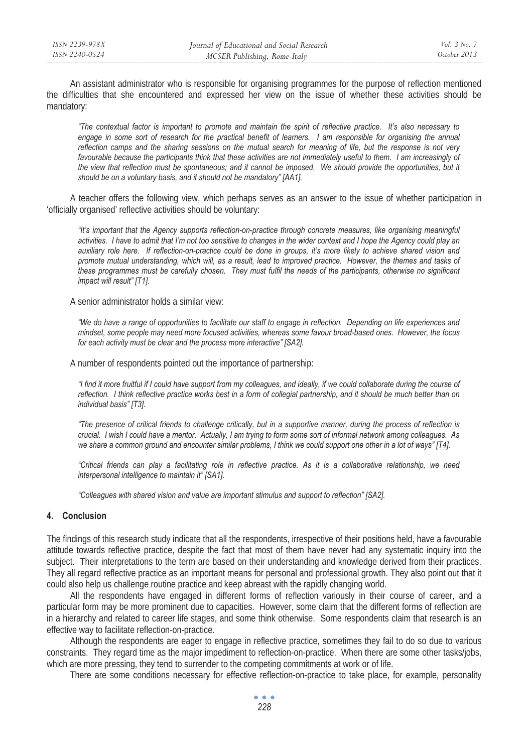An assistant administrator who is responsible for organising programmes for the purpose of reflection mentioned the difficulties that she encountered and expressed her view on the issue of whether these activities should be mandatory:

*"The contextual factor is important to promote and maintain the spirit of reflective practice. It's also necessary to*  engage in some sort of research for the practical benefit of learners. I am responsible for organising the annual reflection camps and the sharing sessions on the mutual search for meaning of life, but the response is not very favourable because the participants think that these activities are not immediately useful to them. I am increasingly of the view that reflection must be spontaneous; and it cannot be imposed. We should provide the opportunities, but it *should be on a voluntary basis, and it should not be mandatory" [AA1].* 

A teacher offers the following view, which perhaps serves as an answer to the issue of whether participation in 'officially organised' reflective activities should be voluntary:

*"It's important that the Agency supports reflection-on-practice through concrete measures, like organising meaningful activities. I have to admit that I'm not too sensitive to changes in the wider context and I hope the Agency could play an auxiliary role here. If reflection-on-practice could be done in groups, it's more likely to achieve shared vision and promote mutual understanding, which will, as a result, lead to improved practice. However, the themes and tasks of these programmes must be carefully chosen. They must fulfil the needs of the participants, otherwise no significant impact will result" [T1].* 

A senior administrator holds a similar view:

*"We do have a range of opportunities to facilitate our staff to engage in reflection. Depending on life experiences and mindset, some people may need more focused activities, whereas some favour broad-based ones. However, the focus for each activity must be clear and the process more interactive" [SA2].* 

A number of respondents pointed out the importance of partnership:

*"I find it more fruitful if I could have support from my colleagues, and ideally, if we could collaborate during the course of*  reflection. I think reflective practice works best in a form of collegial partnership, and it should be much better than on *individual basis" [T3].* 

*"The presence of critical friends to challenge critically, but in a supportive manner, during the process of reflection is crucial. I wish I could have a mentor. Actually, I am trying to form some sort of informal network among colleagues. As we share a common ground and encounter similar problems, I think we could support one other in a lot of ways" [T4].* 

*"Critical friends can play a facilitating role in reflective practice. As it is a collaborative relationship, we need interpersonal intelligence to maintain it" [SA1].* 

*"Colleagues with shared vision and value are important stimulus and support to reflection" [SA2].* 

#### **4. Conclusion**

The findings of this research study indicate that all the respondents, irrespective of their positions held, have a favourable attitude towards reflective practice, despite the fact that most of them have never had any systematic inquiry into the subject. Their interpretations to the term are based on their understanding and knowledge derived from their practices. They all regard reflective practice as an important means for personal and professional growth. They also point out that it could also help us challenge routine practice and keep abreast with the rapidly changing world.

All the respondents have engaged in different forms of reflection variously in their course of career, and a particular form may be more prominent due to capacities. However, some claim that the different forms of reflection are in a hierarchy and related to career life stages, and some think otherwise. Some respondents claim that research is an effective way to facilitate reflection-on-practice.

Although the respondents are eager to engage in reflective practice, sometimes they fail to do so due to various constraints. They regard time as the major impediment to reflection-on-practice. When there are some other tasks/jobs, which are more pressing, they tend to surrender to the competing commitments at work or of life.

There are some conditions necessary for effective reflection-on-practice to take place, for example, personality

 $\bullet$   $\bullet$   $\bullet$ *228*